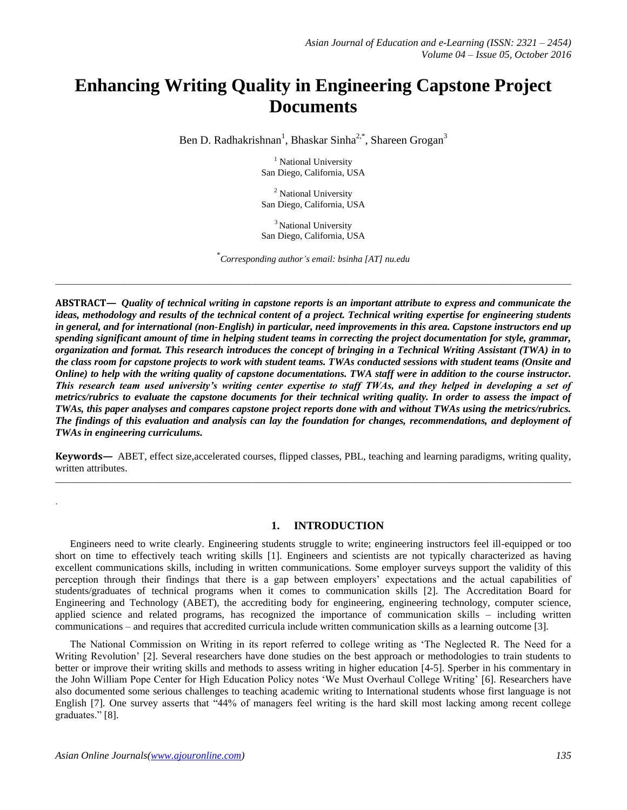# **Enhancing Writing Quality in Engineering Capstone Project Documents**

Ben D. Radhakrishnan<sup>1</sup>, Bhaskar Sinha<sup>2,\*</sup>, Shareen Grogan<sup>3</sup>

<sup>1</sup> National University San Diego, California, USA

<sup>2</sup> National University San Diego, California, USA

<sup>3</sup> National University San Diego, California, USA

\* *Corresponding author's email: bsinha [AT] nu.edu*

*\_\_\_\_\_\_\_\_\_\_\_\_\_\_\_\_\_\_\_\_\_\_\_\_\_\_\_\_\_\_\_\_\_\_\_\_\_\_\_\_\_\_\_\_\_\_\_\_\_\_\_\_\_\_\_\_\_\_\_\_\_\_\_\_\_\_\_\_\_\_\_\_\_\_\_\_\_\_\_\_\_\_\_\_\_\_\_\_\_\_\_\_\_\_\_\_\_\_\_\_\_\_\_\_\_\_\_\_\_\_\_\_*

**ABSTRACT—** *Quality of technical writing in capstone reports is an important attribute to express and communicate the ideas, methodology and results of the technical content of a project. Technical writing expertise for engineering students in general, and for international (non-English) in particular, need improvements in this area. Capstone instructors end up spending significant amount of time in helping student teams in correcting the project documentation for style, grammar, organization and format. This research introduces the concept of bringing in a Technical Writing Assistant (TWA) in to the class room for capstone projects to work with student teams. TWAs conducted sessions with student teams (Onsite and Online) to help with the writing quality of capstone documentations. TWA staff were in addition to the course instructor. This research team used university's writing center expertise to staff TWAs, and they helped in developing a set of metrics/rubrics to evaluate the capstone documents for their technical writing quality. In order to assess the impact of TWAs, this paper analyses and compares capstone project reports done with and without TWAs using the metrics/rubrics. The findings of this evaluation and analysis can lay the foundation for changes, recommendations, and deployment of TWAs in engineering curriculums.* 

**Keywords—** ABET, effect size,accelerated courses, flipped classes, PBL, teaching and learning paradigms, writing quality, written attributes. *\_\_\_\_\_\_\_\_\_\_\_\_\_\_\_\_\_\_\_\_\_\_\_\_\_\_\_\_\_\_\_\_\_\_\_\_\_\_\_\_\_\_\_\_\_\_\_\_\_\_\_\_\_\_\_\_\_\_\_\_\_\_\_\_\_\_\_\_\_\_\_\_\_\_\_\_\_\_\_\_\_\_\_\_\_\_\_\_\_\_\_\_\_\_\_\_\_\_\_\_\_\_\_\_\_\_\_\_\_\_\_\_*

## **1. INTRODUCTION**

Engineers need to write clearly. Engineering students struggle to write; engineering instructors feel ill-equipped or too short on time to effectively teach writing skills [1]. Engineers and scientists are not typically characterized as having excellent communications skills, including in written communications. Some employer surveys support the validity of this perception through their findings that there is a gap between employers" expectations and the actual capabilities of students/graduates of technical programs when it comes to communication skills [2]. The Accreditation Board for Engineering and Technology (ABET), the accrediting body for engineering, engineering technology, computer science, applied science and related programs, has recognized the importance of communication skills – including written communications – and requires that accredited curricula include written communication skills as a learning outcome [3].

The National Commission on Writing in its report referred to college writing as "The Neglected R. The Need for a Writing Revolution" [2]. Several researchers have done studies on the best approach or methodologies to train students to better or improve their writing skills and methods to assess writing in higher education [4-5]. Sperber in his commentary in the John William Pope Center for High Education Policy notes "We Must Overhaul College Writing" [6]. Researchers have also documented some serious challenges to teaching academic writing to International students whose first language is not English [7]. One survey asserts that "44% of managers feel writing is the hard skill most lacking among recent college graduates." [8].

.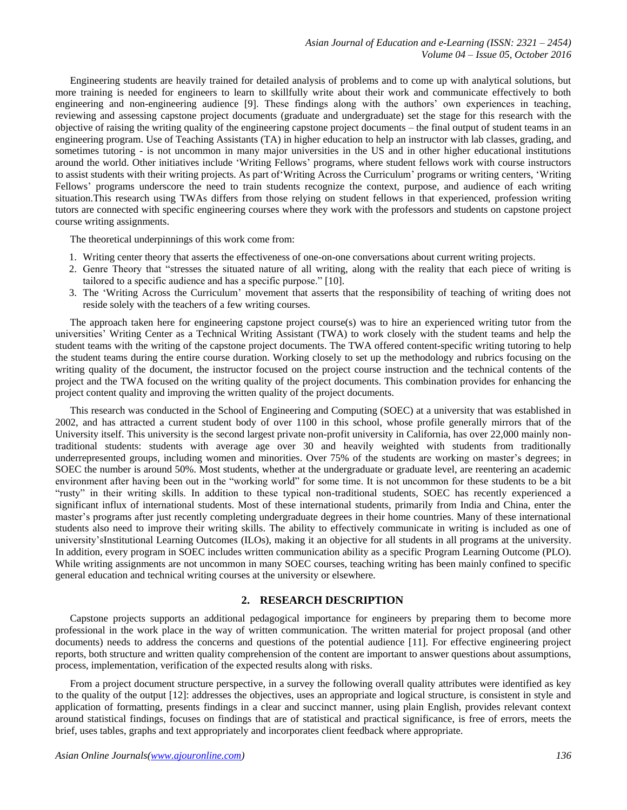Engineering students are heavily trained for detailed analysis of problems and to come up with analytical solutions, but more training is needed for engineers to learn to skillfully write about their work and communicate effectively to both engineering and non-engineering audience [9]. These findings along with the authors' own experiences in teaching, reviewing and assessing capstone project documents (graduate and undergraduate) set the stage for this research with the objective of raising the writing quality of the engineering capstone project documents – the final output of student teams in an engineering program. Use of Teaching Assistants (TA) in higher education to help an instructor with lab classes, grading, and sometimes tutoring - is not uncommon in many major universities in the US and in other higher educational institutions around the world. Other initiatives include "Writing Fellows" programs, where student fellows work with course instructors to assist students with their writing projects. As part of"Writing Across the Curriculum" programs or writing centers, "Writing Fellows' programs underscore the need to train students recognize the context, purpose, and audience of each writing situation.This research using TWAs differs from those relying on student fellows in that experienced, profession writing tutors are connected with specific engineering courses where they work with the professors and students on capstone project course writing assignments.

The theoretical underpinnings of this work come from:

- 1. Writing center theory that asserts the effectiveness of one-on-one conversations about current writing projects.
- 2. Genre Theory that "stresses the situated nature of all writing, along with the reality that each piece of writing is tailored to a specific audience and has a specific purpose." [10].
- 3. The "Writing Across the Curriculum" movement that asserts that the responsibility of teaching of writing does not reside solely with the teachers of a few writing courses.

The approach taken here for engineering capstone project course(s) was to hire an experienced writing tutor from the universities" Writing Center as a Technical Writing Assistant (TWA) to work closely with the student teams and help the student teams with the writing of the capstone project documents. The TWA offered content-specific writing tutoring to help the student teams during the entire course duration. Working closely to set up the methodology and rubrics focusing on the writing quality of the document, the instructor focused on the project course instruction and the technical contents of the project and the TWA focused on the writing quality of the project documents. This combination provides for enhancing the project content quality and improving the written quality of the project documents.

This research was conducted in the School of Engineering and Computing (SOEC) at a university that was established in 2002, and has attracted a current student body of over 1100 in this school, whose profile generally mirrors that of the University itself. This university is the second largest private non-profit university in California, has over 22,000 mainly nontraditional students: students with average age over 30 and heavily weighted with students from traditionally underrepresented groups, including women and minorities. Over 75% of the students are working on master's degrees; in SOEC the number is around 50%. Most students, whether at the undergraduate or graduate level, are reentering an academic environment after having been out in the "working world" for some time. It is not uncommon for these students to be a bit "rusty" in their writing skills. In addition to these typical non-traditional students, SOEC has recently experienced a significant influx of international students. Most of these international students, primarily from India and China, enter the master"s programs after just recently completing undergraduate degrees in their home countries. Many of these international students also need to improve their writing skills. The ability to effectively communicate in writing is included as one of university"sInstitutional Learning Outcomes (ILOs), making it an objective for all students in all programs at the university. In addition, every program in SOEC includes written communication ability as a specific Program Learning Outcome (PLO). While writing assignments are not uncommon in many SOEC courses, teaching writing has been mainly confined to specific general education and technical writing courses at the university or elsewhere.

## **2. RESEARCH DESCRIPTION**

Capstone projects supports an additional pedagogical importance for engineers by preparing them to become more professional in the work place in the way of written communication. The written material for project proposal (and other documents) needs to address the concerns and questions of the potential audience [11]. For effective engineering project reports, both structure and written quality comprehension of the content are important to answer questions about assumptions, process, implementation, verification of the expected results along with risks.

From a project document structure perspective, in a survey the following overall quality attributes were identified as key to the quality of the output [12]: addresses the objectives, uses an appropriate and logical structure, is consistent in style and application of formatting, presents findings in a clear and succinct manner, using plain English, provides relevant context around statistical findings, focuses on findings that are of statistical and practical significance, is free of errors, meets the brief, uses tables, graphs and text appropriately and incorporates client feedback where appropriate.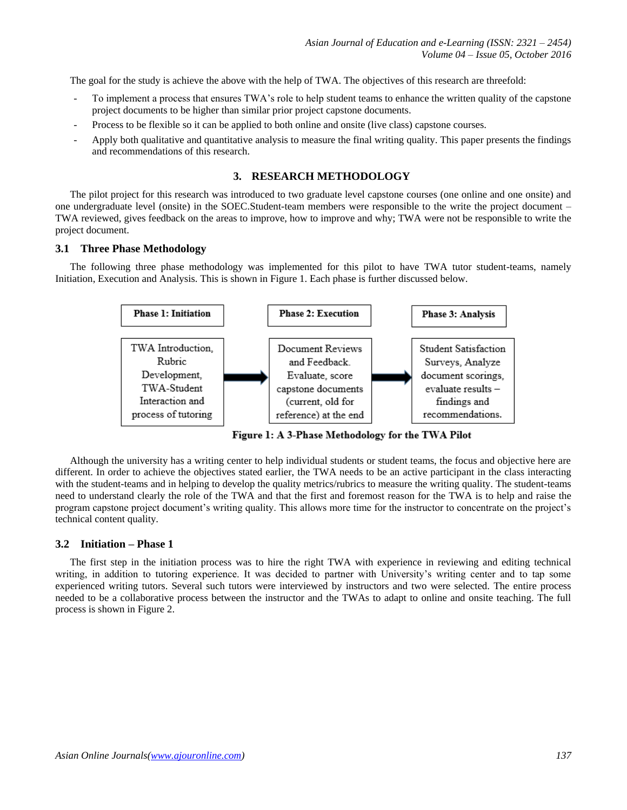The goal for the study is achieve the above with the help of TWA. The objectives of this research are threefold:

- To implement a process that ensures TWA's role to help student teams to enhance the written quality of the capstone project documents to be higher than similar prior project capstone documents.
- Process to be flexible so it can be applied to both online and onsite (live class) capstone courses.
- Apply both qualitative and quantitative analysis to measure the final writing quality. This paper presents the findings and recommendations of this research.

## **3. RESEARCH METHODOLOGY**

The pilot project for this research was introduced to two graduate level capstone courses (one online and one onsite) and one undergraduate level (onsite) in the SOEC.Student-team members were responsible to the write the project document – TWA reviewed, gives feedback on the areas to improve, how to improve and why; TWA were not be responsible to write the project document.

## **3.1 Three Phase Methodology**

The following three phase methodology was implemented for this pilot to have TWA tutor student-teams, namely Initiation, Execution and Analysis. This is shown in Figure 1. Each phase is further discussed below.



Figure 1: A 3-Phase Methodology for the TWA Pilot

Although the university has a writing center to help individual students or student teams, the focus and objective here are different. In order to achieve the objectives stated earlier, the TWA needs to be an active participant in the class interacting with the student-teams and in helping to develop the quality metrics/rubrics to measure the writing quality. The student-teams need to understand clearly the role of the TWA and that the first and foremost reason for the TWA is to help and raise the program capstone project document"s writing quality. This allows more time for the instructor to concentrate on the project"s technical content quality.

#### **3.2 Initiation – Phase 1**

The first step in the initiation process was to hire the right TWA with experience in reviewing and editing technical writing, in addition to tutoring experience. It was decided to partner with University"s writing center and to tap some experienced writing tutors. Several such tutors were interviewed by instructors and two were selected. The entire process needed to be a collaborative process between the instructor and the TWAs to adapt to online and onsite teaching. The full process is shown in Figure 2.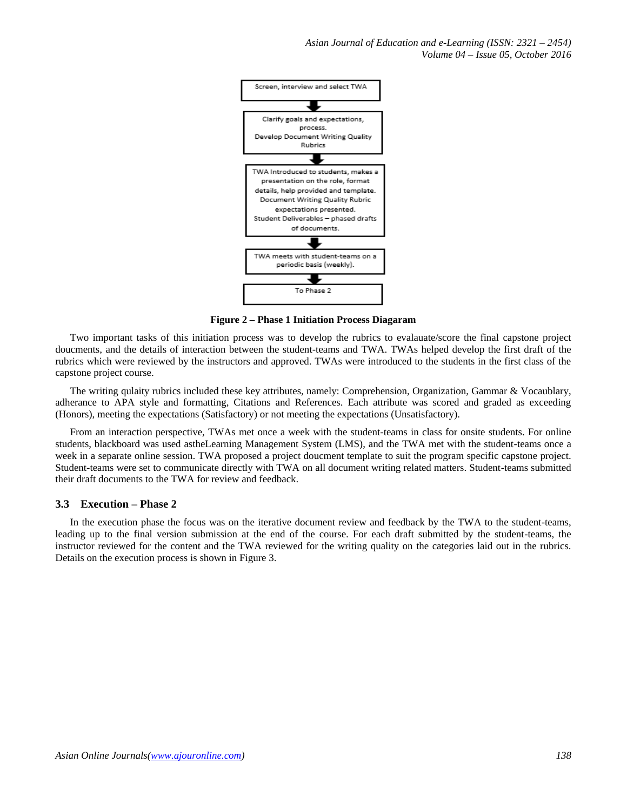*Asian Journal of Education and e-Learning (ISSN: 2321 – 2454) Volume 04 – Issue 05, October 2016*



**Figure 2 – Phase 1 Initiation Process Diagaram**

Two important tasks of this initiation process was to develop the rubrics to evalauate/score the final capstone project doucments, and the details of interaction between the student-teams and TWA. TWAs helped develop the first draft of the rubrics which were reviewed by the instructors and approved. TWAs were introduced to the students in the first class of the capstone project course.

The writing qulaity rubrics included these key attributes, namely: Comprehension, Organization, Gammar & Vocaublary, adherance to APA style and formatting, Citations and References. Each attribute was scored and graded as exceeding (Honors), meeting the expectations (Satisfactory) or not meeting the expectations (Unsatisfactory).

From an interaction perspective, TWAs met once a week with the student-teams in class for onsite students. For online students, blackboard was used astheLearning Management System (LMS), and the TWA met with the student-teams once a week in a separate online session. TWA proposed a project doucment template to suit the program specific capstone project. Student-teams were set to communicate directly with TWA on all document writing related matters. Student-teams submitted their draft documents to the TWA for review and feedback.

## **3.3 Execution – Phase 2**

In the execution phase the focus was on the iterative document review and feedback by the TWA to the student-teams, leading up to the final version submission at the end of the course. For each draft submitted by the student-teams, the instructor reviewed for the content and the TWA reviewed for the writing quality on the categories laid out in the rubrics. Details on the execution process is shown in Figure 3.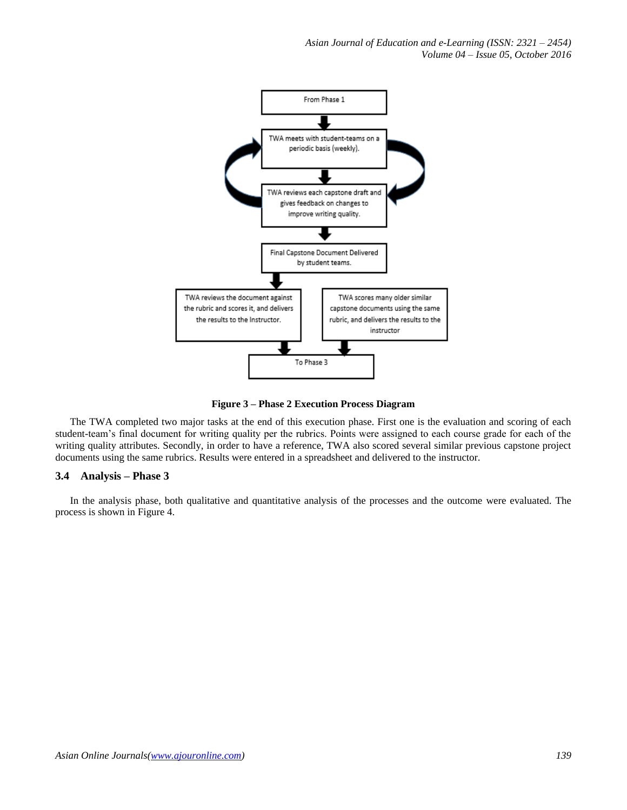

**Figure 3 – Phase 2 Execution Process Diagram**

The TWA completed two major tasks at the end of this execution phase. First one is the evaluation and scoring of each student-team"s final document for writing quality per the rubrics. Points were assigned to each course grade for each of the writing quality attributes. Secondly, in order to have a reference, TWA also scored several similar previous capstone project documents using the same rubrics. Results were entered in a spreadsheet and delivered to the instructor.

# **3.4 Analysis – Phase 3**

In the analysis phase, both qualitative and quantitative analysis of the processes and the outcome were evaluated. The process is shown in Figure 4.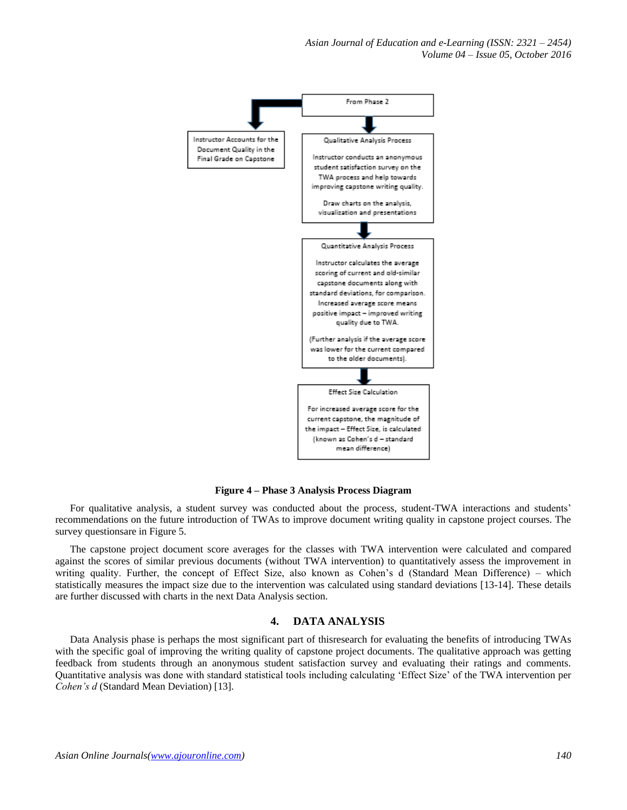*Asian Journal of Education and e-Learning (ISSN: 2321 – 2454) Volume 04 – Issue 05, October 2016*



**Figure 4 – Phase 3 Analysis Process Diagram**

For qualitative analysis, a student survey was conducted about the process, student-TWA interactions and students' recommendations on the future introduction of TWAs to improve document writing quality in capstone project courses. The survey questionsare in Figure 5.

The capstone project document score averages for the classes with TWA intervention were calculated and compared against the scores of similar previous documents (without TWA intervention) to quantitatively assess the improvement in writing quality. Further, the concept of Effect Size, also known as Cohen's d (Standard Mean Difference) – which statistically measures the impact size due to the intervention was calculated using standard deviations [13-14]. These details are further discussed with charts in the next Data Analysis section.

#### **4. DATA ANALYSIS**

Data Analysis phase is perhaps the most significant part of thisresearch for evaluating the benefits of introducing TWAs with the specific goal of improving the writing quality of capstone project documents. The qualitative approach was getting feedback from students through an anonymous student satisfaction survey and evaluating their ratings and comments. Quantitative analysis was done with standard statistical tools including calculating "Effect Size" of the TWA intervention per *Cohen's d* (Standard Mean Deviation) [13].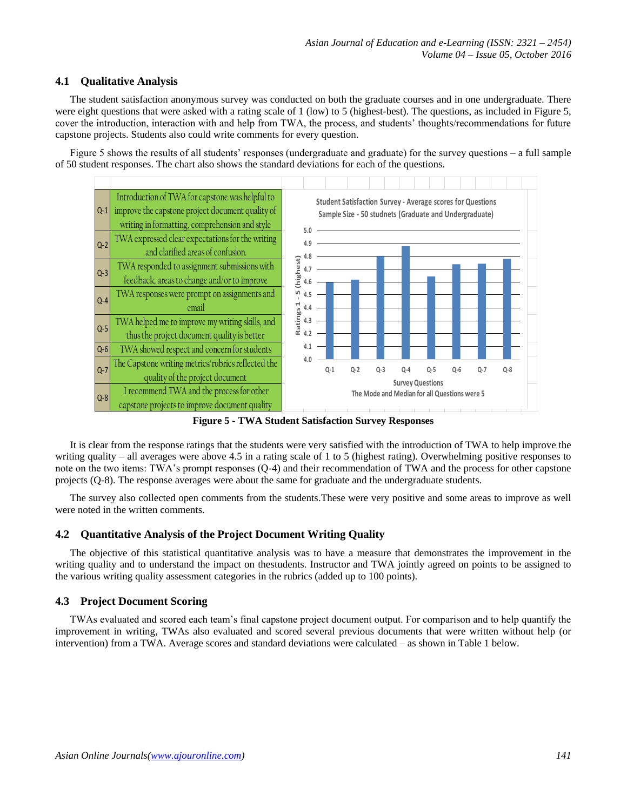# **4.1 Qualitative Analysis**

The student satisfaction anonymous survey was conducted on both the graduate courses and in one undergraduate. There were eight questions that were asked with a rating scale of 1 (low) to 5 (highest-best). The questions, as included in Figure 5, cover the introduction, interaction with and help from TWA, the process, and students" thoughts/recommendations for future capstone projects. Students also could write comments for every question.

Figure 5 shows the results of all students' responses (undergraduate and graduate) for the survey questions – a full sample of 50 student responses. The chart also shows the standard deviations for each of the questions.



**Figure 5 - TWA Student Satisfaction Survey Responses**

It is clear from the response ratings that the students were very satisfied with the introduction of TWA to help improve the writing quality – all averages were above 4.5 in a rating scale of 1 to 5 (highest rating). Overwhelming positive responses to note on the two items: TWA"s prompt responses (Q-4) and their recommendation of TWA and the process for other capstone projects (Q-8). The response averages were about the same for graduate and the undergraduate students.

The survey also collected open comments from the students.These were very positive and some areas to improve as well were noted in the written comments.

# **4.2 Quantitative Analysis of the Project Document Writing Quality**

The objective of this statistical quantitative analysis was to have a measure that demonstrates the improvement in the writing quality and to understand the impact on thestudents. Instructor and TWA jointly agreed on points to be assigned to the various writing quality assessment categories in the rubrics (added up to 100 points).

# **4.3 Project Document Scoring**

TWAs evaluated and scored each team"s final capstone project document output. For comparison and to help quantify the improvement in writing, TWAs also evaluated and scored several previous documents that were written without help (or intervention) from a TWA. Average scores and standard deviations were calculated – as shown in Table 1 below.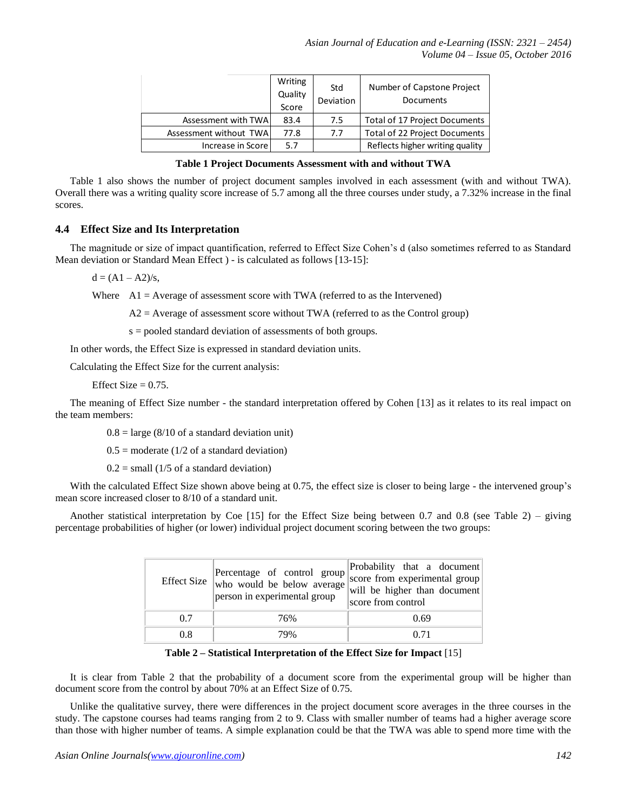|                        | Writing<br>Quality<br>Score | Std<br>Deviation | Number of Capstone Project<br><b>Documents</b> |
|------------------------|-----------------------------|------------------|------------------------------------------------|
| Assessment with TWA    | 83.4                        | 7.5              | Total of 17 Project Documents                  |
| Assessment without TWA | 77.8                        | 7.7              | <b>Total of 22 Project Documents</b>           |
| Increase in Score      | 5.7                         |                  | Reflects higher writing quality                |

#### **Table 1 Project Documents Assessment with and without TWA**

Table 1 also shows the number of project document samples involved in each assessment (with and without TWA). Overall there was a writing quality score increase of 5.7 among all the three courses under study, a 7.32% increase in the final scores.

## **4.4 Effect Size and Its Interpretation**

The magnitude or size of impact quantification, referred to Effect Size Cohen"s d (also sometimes referred to as Standard Mean deviation or Standard Mean Effect ) - is calculated as follows [13-15]:

 $d = (A1 - A2)/s$ ,

Where  $A1 = Average of assessment score with TWA (referred to as the Intervened)$ 

 $A2$  = Average of assessment score without TWA (referred to as the Control group)

s = pooled standard deviation of assessments of both groups.

In other words, the Effect Size is expressed in standard deviation units.

Calculating the Effect Size for the current analysis:

Effect Size  $= 0.75$ .

The meaning of Effect Size number - the standard interpretation offered by Cohen [13] as it relates to its real impact on the team members:

 $0.8 = \text{large } (8/10 \text{ of a standard deviation unit})$ 

 $0.5$  = moderate (1/2 of a standard deviation)

 $0.2$  = small (1/5 of a standard deviation)

With the calculated Effect Size shown above being at 0.75, the effect size is closer to being large - the intervened group's mean score increased closer to 8/10 of a standard unit.

Another statistical interpretation by Coe [15] for the Effect Size being between 0.7 and 0.8 (see Table 2) – giving percentage probabilities of higher (or lower) individual project document scoring between the two groups:

|     | Percentage of control group<br>Effect Size $\ $ who would be below average<br>person in experimental group | Probability that a document<br>score from experimental group<br>will be higher than document<br>score from control |
|-----|------------------------------------------------------------------------------------------------------------|--------------------------------------------------------------------------------------------------------------------|
| 0.7 | 76%                                                                                                        | 0.69                                                                                                               |
| 0.8 | 79%                                                                                                        | 0.71                                                                                                               |

## **Table 2 – Statistical Interpretation of the Effect Size for Impact** [15]

It is clear from Table 2 that the probability of a document score from the experimental group will be higher than document score from the control by about 70% at an Effect Size of 0.75.

Unlike the qualitative survey, there were differences in the project document score averages in the three courses in the study. The capstone courses had teams ranging from 2 to 9. Class with smaller number of teams had a higher average score than those with higher number of teams. A simple explanation could be that the TWA was able to spend more time with the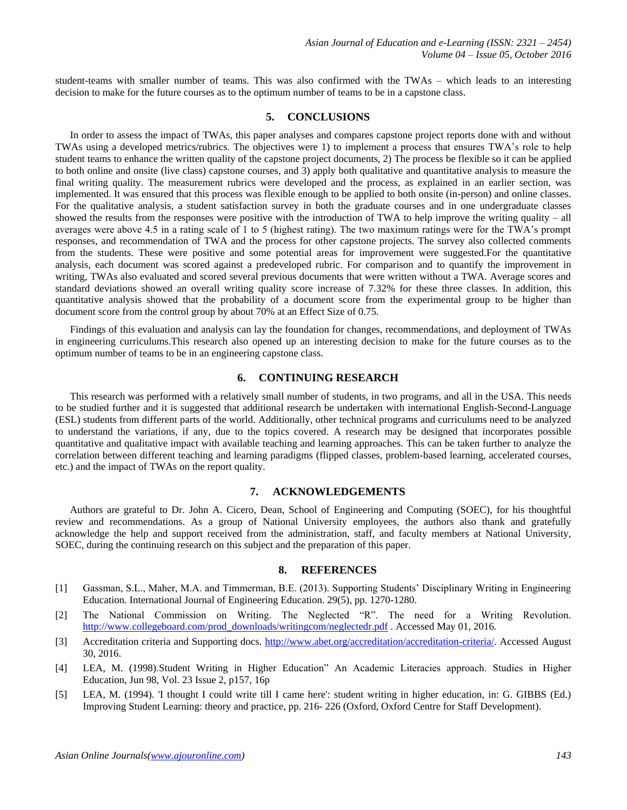student-teams with smaller number of teams. This was also confirmed with the TWAs – which leads to an interesting decision to make for the future courses as to the optimum number of teams to be in a capstone class.

#### **5. CONCLUSIONS**

In order to assess the impact of TWAs, this paper analyses and compares capstone project reports done with and without TWAs using a developed metrics/rubrics. The objectives were 1) to implement a process that ensures TWA"s role to help student teams to enhance the written quality of the capstone project documents, 2) The process be flexible so it can be applied to both online and onsite (live class) capstone courses, and 3) apply both qualitative and quantitative analysis to measure the final writing quality. The measurement rubrics were developed and the process, as explained in an earlier section, was implemented. It was ensured that this process was flexible enough to be applied to both onsite (in-person) and online classes. For the qualitative analysis, a student satisfaction survey in both the graduate courses and in one undergraduate classes showed the results from the responses were positive with the introduction of TWA to help improve the writing quality – all averages were above 4.5 in a rating scale of 1 to 5 (highest rating). The two maximum ratings were for the TWA"s prompt responses, and recommendation of TWA and the process for other capstone projects. The survey also collected comments from the students. These were positive and some potential areas for improvement were suggested.For the quantitative analysis, each document was scored against a predeveloped rubric. For comparison and to quantify the improvement in writing, TWAs also evaluated and scored several previous documents that were written without a TWA. Average scores and standard deviations showed an overall writing quality score increase of 7.32% for these three classes. In addition, this quantitative analysis showed that the probability of a document score from the experimental group to be higher than document score from the control group by about 70% at an Effect Size of 0.75.

Findings of this evaluation and analysis can lay the foundation for changes, recommendations, and deployment of TWAs in engineering curriculums.This research also opened up an interesting decision to make for the future courses as to the optimum number of teams to be in an engineering capstone class.

## **6. CONTINUING RESEARCH**

This research was performed with a relatively small number of students, in two programs, and all in the USA. This needs to be studied further and it is suggested that additional research be undertaken with international English-Second-Language (ESL) students from different parts of the world. Additionally, other technical programs and curriculums need to be analyzed to understand the variations, if any, due to the topics covered. A research may be designed that incorporates possible quantitative and qualitative impact with available teaching and learning approaches. This can be taken further to analyze the correlation between different teaching and learning paradigms (flipped classes, problem-based learning, accelerated courses, etc.) and the impact of TWAs on the report quality.

## **7. ACKNOWLEDGEMENTS**

Authors are grateful to Dr. John A. Cicero, Dean, School of Engineering and Computing (SOEC), for his thoughtful review and recommendations. As a group of National University employees, the authors also thank and gratefully acknowledge the help and support received from the administration, staff, and faculty members at National University, SOEC, during the continuing research on this subject and the preparation of this paper.

#### **8. REFERENCES**

- [1] Gassman, S.L., Maher, M.A. and Timmerman, B.E. (2013). Supporting Students" Disciplinary Writing in Engineering Education. International Journal of Engineering Education. 29(5), pp. 1270-1280.
- [2] The National Commission on Writing. The Neglected "R". The need for a Writing Revolution. [http://www.collegeboard.com/prod\\_downloads/writingcom/neglectedr.pdf](http://www.collegeboard.com/prod_downloads/writingcom/neglectedr.pdf) . Accessed May 01, 2016.
- [3] Accreditation criteria and Supporting docs. [http://www.abet.org/accreditation/accreditation-criteria/.](http://www.abet.org/accreditation/accreditation-criteria/) Accessed August 30, 2016.
- [4] LEA, M. (1998).Student Writing in Higher Education" An Academic Literacies approach. Studies in Higher Education, Jun 98, Vol. 23 Issue 2, p157, 16p
- [5] LEA, M. (1994). 'I thought I could write till I came here': student writing in higher education, in: G. GIBBS (Ed.) Improving Student Learning: theory and practice, pp. 216- 226 (Oxford, Oxford Centre for Staff Development).